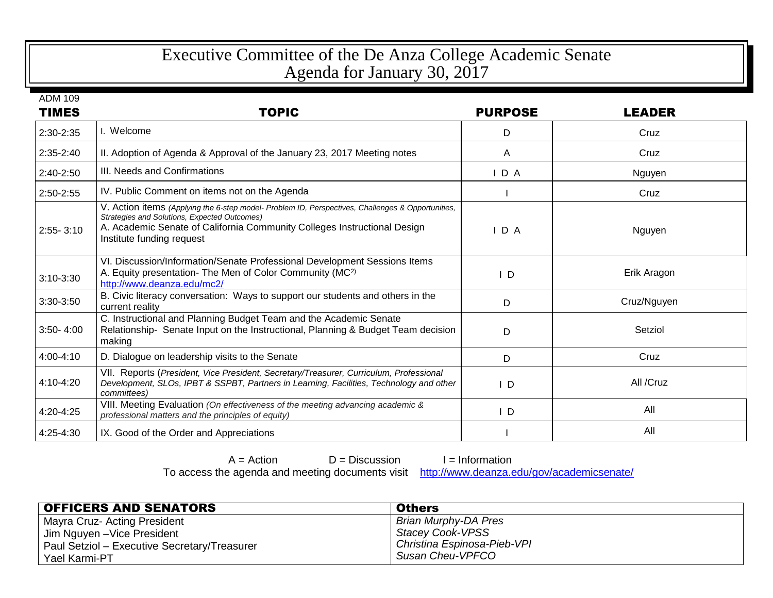## Executive Committee of the De Anza College Academic Senate Agenda for January 30, 2017

ADM 109

| <b>TIMES</b>  | <b>TOPIC</b>                                                                                                                                                                                                                                               | <b>PURPOSE</b> | <b>LEADER</b> |
|---------------|------------------------------------------------------------------------------------------------------------------------------------------------------------------------------------------------------------------------------------------------------------|----------------|---------------|
| 2:30-2:35     | l. Welcome                                                                                                                                                                                                                                                 | D              | Cruz          |
| 2:35-2:40     | II. Adoption of Agenda & Approval of the January 23, 2017 Meeting notes                                                                                                                                                                                    | A              | Cruz          |
| 2:40-2:50     | III. Needs and Confirmations                                                                                                                                                                                                                               | IDA            | Nguyen        |
| 2:50-2:55     | IV. Public Comment on items not on the Agenda                                                                                                                                                                                                              |                | Cruz          |
| $2:55 - 3:10$ | V. Action items (Applying the 6-step model- Problem ID, Perspectives, Challenges & Opportunities,<br>Strategies and Solutions, Expected Outcomes)<br>A. Academic Senate of California Community Colleges Instructional Design<br>Institute funding request | $I$ D A        | Nguyen        |
| $3:10-3:30$   | VI. Discussion/Information/Senate Professional Development Sessions Items<br>A. Equity presentation- The Men of Color Community (MC <sup>2)</sup><br>http://www.deanza.edu/mc2/                                                                            | I D            | Erik Aragon   |
| 3:30-3:50     | B. Civic literacy conversation: Ways to support our students and others in the<br>current reality                                                                                                                                                          | D              | Cruz/Nguyen   |
| $3:50 - 4:00$ | C. Instructional and Planning Budget Team and the Academic Senate<br>Relationship- Senate Input on the Instructional, Planning & Budget Team decision<br>making                                                                                            | D              | Setziol       |
| 4:00-4:10     | D. Dialogue on leadership visits to the Senate                                                                                                                                                                                                             | D              | Cruz          |
| 4:10-4:20     | VII. Reports (President, Vice President, Secretary/Treasurer, Curriculum, Professional<br>Development, SLOs, IPBT & SSPBT, Partners in Learning, Facilities, Technology and other<br>committees)                                                           | $\overline{D}$ | All /Cruz     |
| 4:20-4:25     | VIII. Meeting Evaluation (On effectiveness of the meeting advancing academic &<br>professional matters and the principles of equity)                                                                                                                       | $\mathsf{I}$ D | All           |
| 4:25-4:30     | IX. Good of the Order and Appreciations                                                                                                                                                                                                                    |                | All           |

 $A = Action$  D = Discussion I = Information

To access the agenda and meeting documents visit <http://www.deanza.edu/gov/academicsenate/>

| <b>OFFICERS AND SENATORS</b>                 | <b>Others</b>               |
|----------------------------------------------|-----------------------------|
| Mayra Cruz- Acting President                 | Brian Murphy-DA Pres        |
| Jim Nguyen - Vice President                  | Stacey Cook-VPSS            |
| Paul Setziol – Executive Secretary/Treasurer | Christina Espinosa-Pieb-VPI |
| Yael Karmi-PT                                | Susan Cheu-VPFCO            |